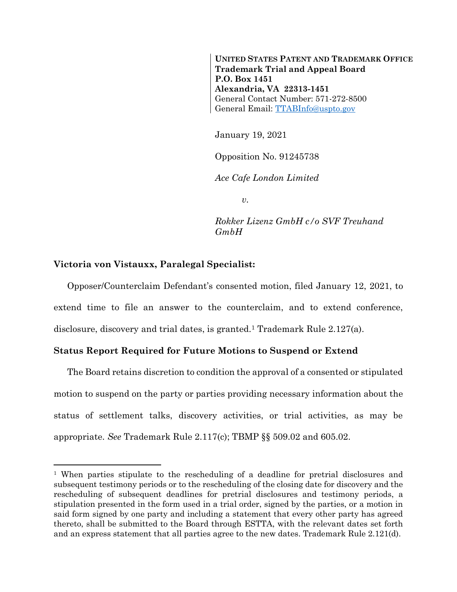**UNITED STATES PATENT AND TRADEMARK OFFICE Trademark Trial and Appeal Board P.O. Box 1451 Alexandria, VA 22313-1451** General Contact Number: 571-272-8500 General Email: [TTABInfo@uspto.gov](mailto:TTABInfo@uspto.gov)

January 19, 2021

Opposition No. 91245738

*Ace Cafe London Limited*

*v.*

*Rokker Lizenz GmbH c/o SVF Treuhand GmbH*

## **Victoria von Vistauxx, Paralegal Specialist:**

l

Opposer/Counterclaim Defendant's consented motion, filed January 12, 2021, to extend time to file an answer to the counterclaim, and to extend conference, disclosure, discovery and trial dates, is granted.<sup>1</sup> Trademark Rule 2.127(a).

## **Status Report Required for Future Motions to Suspend or Extend**

The Board retains discretion to condition the approval of a consented or stipulated motion to suspend on the party or parties providing necessary information about the status of settlement talks, discovery activities, or trial activities, as may be appropriate. *See* Trademark Rule 2.117(c); TBMP §§ 509.02 and 605.02.

<sup>1</sup> When parties stipulate to the rescheduling of a deadline for pretrial disclosures and subsequent testimony periods or to the rescheduling of the closing date for discovery and the rescheduling of subsequent deadlines for pretrial disclosures and testimony periods, a stipulation presented in the form used in a trial order, signed by the parties, or a motion in said form signed by one party and including a statement that every other party has agreed thereto, shall be submitted to the Board through ESTTA, with the relevant dates set forth and an express statement that all parties agree to the new dates. Trademark Rule 2.121(d).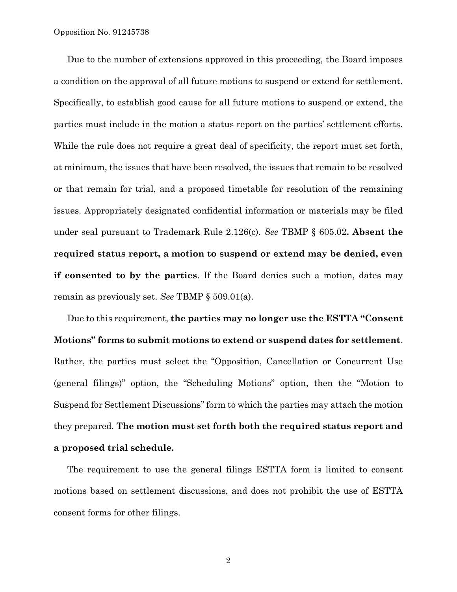Due to the number of extensions approved in this proceeding, the Board imposes a condition on the approval of all future motions to suspend or extend for settlement. Specifically, to establish good cause for all future motions to suspend or extend, the parties must include in the motion a status report on the parties' settlement efforts. While the rule does not require a great deal of specificity, the report must set forth, at minimum, the issues that have been resolved, the issues that remain to be resolved or that remain for trial, and a proposed timetable for resolution of the remaining issues. Appropriately designated confidential information or materials may be filed under seal pursuant to Trademark Rule 2.126(c). *See* TBMP § 605.02**. Absent the required status report, a motion to suspend or extend may be denied, even if consented to by the parties**. If the Board denies such a motion, dates may remain as previously set. *See* TBMP § 509.01(a).

Due to this requirement, **the parties may no longer use the ESTTA "Consent Motions" forms to submit motions to extend or suspend dates for settlement**. Rather, the parties must select the "Opposition, Cancellation or Concurrent Use (general filings)" option, the "Scheduling Motions" option, then the "Motion to Suspend for Settlement Discussions" form to which the parties may attach the motion they prepared. **The motion must set forth both the required status report and a proposed trial schedule.**

The requirement to use the general filings ESTTA form is limited to consent motions based on settlement discussions, and does not prohibit the use of ESTTA consent forms for other filings.

2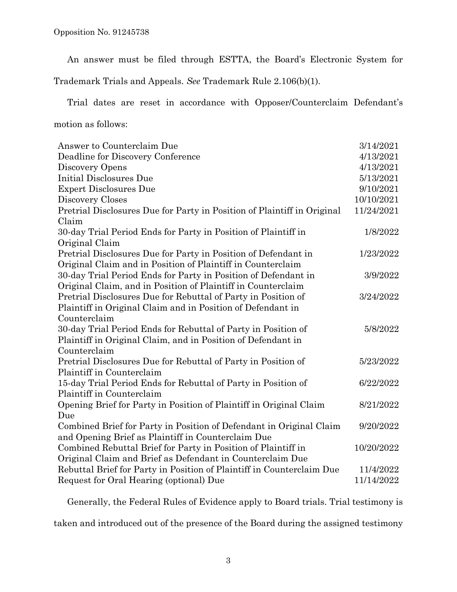An answer must be filed through ESTTA, the Board's Electronic System for

Trademark Trials and Appeals. *See* Trademark Rule 2.106(b)(1).

Trial dates are reset in accordance with Opposer/Counterclaim Defendant's

motion as follows:

| Answer to Counterclaim Due                                              | 3/14/2021  |
|-------------------------------------------------------------------------|------------|
| Deadline for Discovery Conference                                       | 4/13/2021  |
| Discovery Opens                                                         | 4/13/2021  |
| Initial Disclosures Due                                                 | 5/13/2021  |
| <b>Expert Disclosures Due</b>                                           | 9/10/2021  |
| Discovery Closes                                                        | 10/10/2021 |
| Pretrial Disclosures Due for Party in Position of Plaintiff in Original | 11/24/2021 |
| Claim                                                                   |            |
| 30-day Trial Period Ends for Party in Position of Plaintiff in          | 1/8/2022   |
| Original Claim                                                          |            |
| Pretrial Disclosures Due for Party in Position of Defendant in          | 1/23/2022  |
| Original Claim and in Position of Plaintiff in Counterclaim             |            |
| 30-day Trial Period Ends for Party in Position of Defendant in          | 3/9/2022   |
| Original Claim, and in Position of Plaintiff in Counterclaim            |            |
| Pretrial Disclosures Due for Rebuttal of Party in Position of           | 3/24/2022  |
| Plaintiff in Original Claim and in Position of Defendant in             |            |
| Counterclaim                                                            |            |
| 30-day Trial Period Ends for Rebuttal of Party in Position of           | 5/8/2022   |
| Plaintiff in Original Claim, and in Position of Defendant in            |            |
| Counterclaim                                                            |            |
| Pretrial Disclosures Due for Rebuttal of Party in Position of           | 5/23/2022  |
| Plaintiff in Counterclaim                                               |            |
| 15-day Trial Period Ends for Rebuttal of Party in Position of           | 6/22/2022  |
| Plaintiff in Counterclaim                                               |            |
| Opening Brief for Party in Position of Plaintiff in Original Claim      | 8/21/2022  |
| Due                                                                     |            |
| Combined Brief for Party in Position of Defendant in Original Claim     | 9/20/2022  |
| and Opening Brief as Plaintiff in Counterclaim Due                      |            |
| Combined Rebuttal Brief for Party in Position of Plaintiff in           | 10/20/2022 |
| Original Claim and Brief as Defendant in Counterclaim Due               |            |
| Rebuttal Brief for Party in Position of Plaintiff in Counterclaim Due   | 11/4/2022  |
| Request for Oral Hearing (optional) Due                                 | 11/14/2022 |

Generally, the Federal Rules of Evidence apply to Board trials. Trial testimony is

taken and introduced out of the presence of the Board during the assigned testimony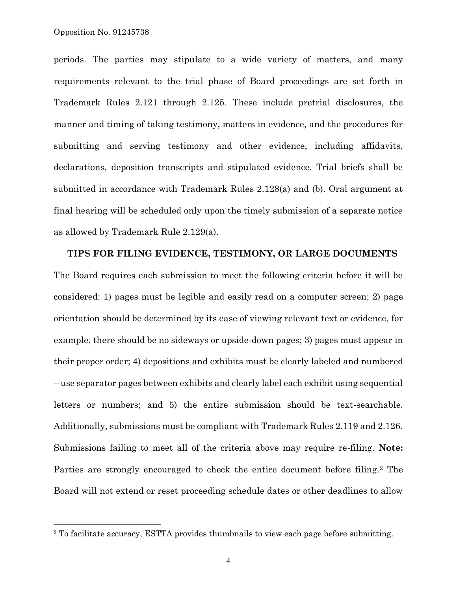$\overline{a}$ 

periods. The parties may stipulate to a wide variety of matters, and many requirements relevant to the trial phase of Board proceedings are set forth in Trademark Rules 2.121 through 2.125. These include pretrial disclosures, the manner and timing of taking testimony, matters in evidence, and the procedures for submitting and serving testimony and other evidence, including affidavits, declarations, deposition transcripts and stipulated evidence. Trial briefs shall be submitted in accordance with Trademark Rules 2.128(a) and (b). Oral argument at final hearing will be scheduled only upon the timely submission of a separate notice as allowed by Trademark Rule 2.129(a).

## **TIPS FOR FILING EVIDENCE, TESTIMONY, OR LARGE DOCUMENTS**

The Board requires each submission to meet the following criteria before it will be considered: 1) pages must be legible and easily read on a computer screen; 2) page orientation should be determined by its ease of viewing relevant text or evidence, for example, there should be no sideways or upside-down pages; 3) pages must appear in their proper order; 4) depositions and exhibits must be clearly labeled and numbered – use separator pages between exhibits and clearly label each exhibit using sequential letters or numbers; and 5) the entire submission should be text-searchable. Additionally, submissions must be compliant with Trademark Rules 2.119 and 2.126. Submissions failing to meet all of the criteria above may require re-filing. **Note:** Parties are strongly encouraged to check the entire document before filing.<sup>2</sup> The Board will not extend or reset proceeding schedule dates or other deadlines to allow

<sup>2</sup> To facilitate accuracy, ESTTA provides thumbnails to view each page before submitting.